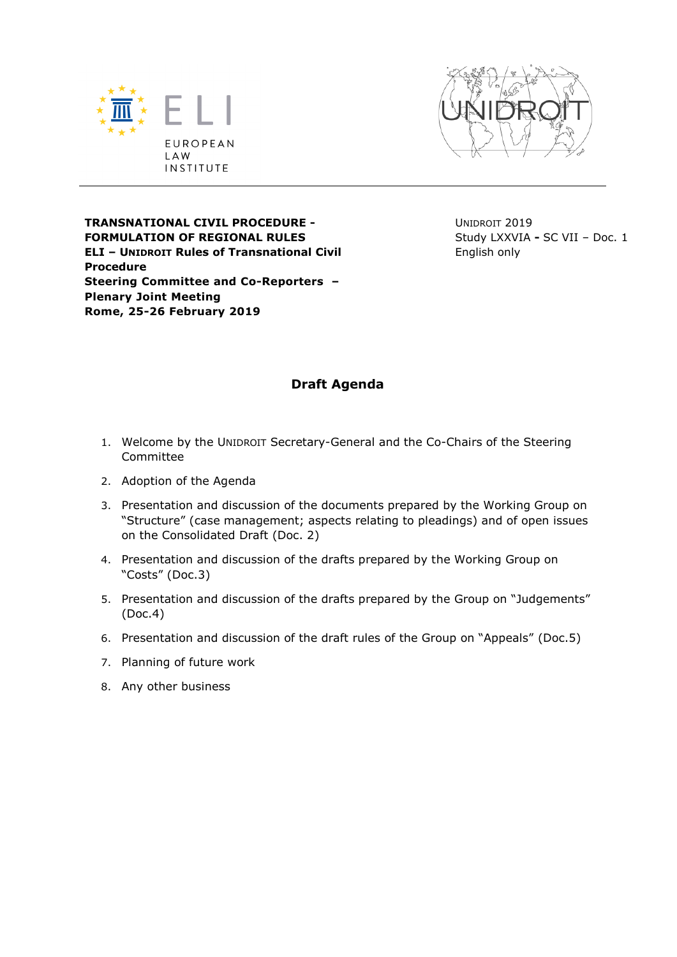



**TRANSNATIONAL CIVIL PROCEDURE - FORMULATION OF REGIONAL RULES ELI – UNIDROIT Rules of Transnational Civil Procedure Steering Committee and Co-Reporters – Plenary Joint Meeting Rome, 25-26 February 2019**

UNIDROIT 2019 Study LXXVIA **-** SC VII – Doc. 1 English only

## **Draft Agenda**

- 1. Welcome by the UNIDROIT Secretary-General and the Co-Chairs of the Steering Committee
- 2. Adoption of the Agenda
- 3. Presentation and discussion of the documents prepared by the Working Group on "Structure" (case management; aspects relating to pleadings) and of open issues on the Consolidated Draft (Doc. 2)
- 4. Presentation and discussion of the drafts prepared by the Working Group on "Costs" (Doc.3)
- 5. Presentation and discussion of the drafts prepared by the Group on "Judgements" (Doc.4)
- 6. Presentation and discussion of the draft rules of the Group on "Appeals" (Doc.5)
- 7. Planning of future work
- 8. Any other business